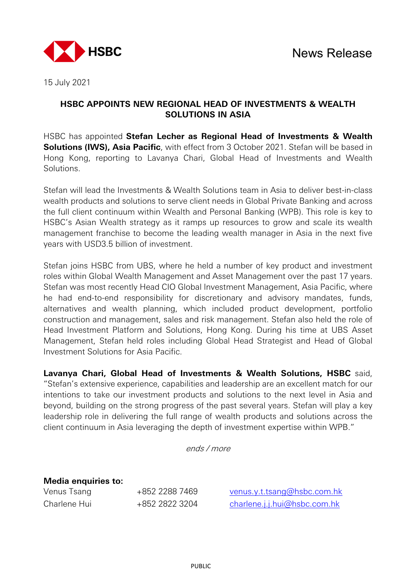

15 July 2021

## **HSBC APPOINTS NEW REGIONAL HEAD OF INVESTMENTS & WEALTH SOLUTIONS IN ASIA**

HSBC has appointed **Stefan Lecher as Regional Head of Investments & Wealth Solutions (IWS), Asia Pacific**, with effect from 3 October 2021. Stefan will be based in Hong Kong, reporting to Lavanya Chari, Global Head of Investments and Wealth Solutions.

Stefan will lead the Investments & Wealth Solutions team in Asia to deliver best-in-class wealth products and solutions to serve client needs in Global Private Banking and across the full client continuum within Wealth and Personal Banking (WPB). This role is key to HSBC's Asian Wealth strategy as it ramps up resources to grow and scale its wealth management franchise to become the leading wealth manager in Asia in the next five years with USD3.5 billion of investment.

Stefan joins HSBC from UBS, where he held a number of key product and investment roles within Global Wealth Management and Asset Management over the past 17 years. Stefan was most recently Head CIO Global Investment Management, Asia Pacific, where he had end-to-end responsibility for discretionary and advisory mandates, funds, alternatives and wealth planning, which included product development, portfolio construction and management, sales and risk management. Stefan also held the role of Head Investment Platform and Solutions, Hong Kong. During his time at UBS Asset Management, Stefan held roles including Global Head Strategist and Head of Global Investment Solutions for Asia Pacific.

**Lavanya Chari, Global Head of Investments & Wealth Solutions, HSBC** said, "Stefan's extensive experience, capabilities and leadership are an excellent match for our intentions to take our investment products and solutions to the next level in Asia and beyond, building on the strong progress of the past several years. Stefan will play a key leadership role in delivering the full range of wealth products and solutions across the client continuum in Asia leveraging the depth of investment expertise within WPB."

ends / more

**Media enquiries to:**

| Venus Tsang  | +852 2288 7469 |
|--------------|----------------|
| Charlene Hui | +852 2822 3204 |

venus y.t.tsang@hsbc.com.hk [charlene.j.j.hui@hsbc.com.hk](mailto:charlene.j.j.hui@hsbc.com.hk)